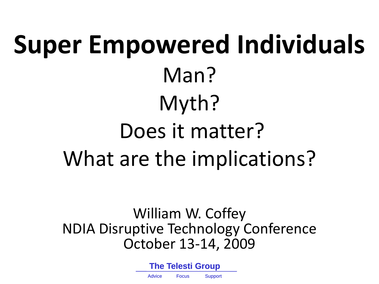# **Super Empowered Individuals** Man? Myth? Does it matter? What are the implications?

William W. Coffey NDIA Disruptive Technology Conference October 13-14, 2009

> **The Telesti Group** Advice Focus Support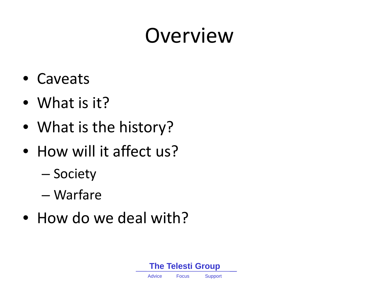### Overview

- Caveats
- What is it?
- What is the history?
- How will it affect us?
	- Society
	- Warfare
- How do we deal with?

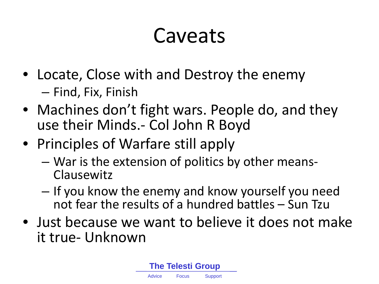### Caveats

- Locate, Close with and Destroy the enemy – Find, Fix, Finish
- Machines don't fight wars. People do, and they use their Minds.- Col John R Boyd
- Principles of Warfare still apply
	- War is the extension of politics by other means- Clausewitz
	- If you know the enemy and know yourself you need not fear the results of a hundred battles – Sun Tzu
- Just because we want to believe it does not make it true- Unknown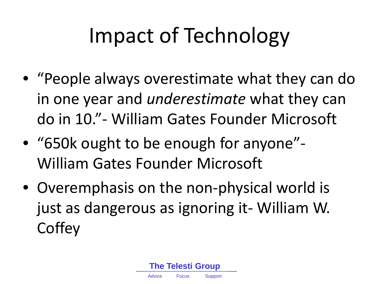# Impact of Technology

- "People always overestimate what they can do in one year and *underestimate* what they can do in 10."- William Gates Founder Microsoft
- "650k ought to be enough for anyone"- William Gates Founder Microsoft
- Overemphasis on the non-physical world is just as dangerous as ignoring it- William W. **Coffey**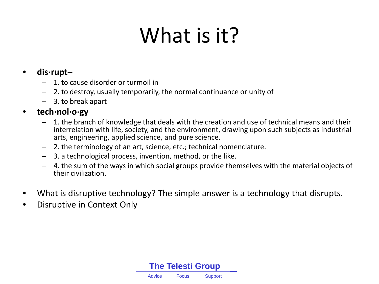### What is it?

#### • **dis**⋅**rupt**–

- 1. to cause disorder or turmoil in
- 2. to destroy, usually temporarily, the normal continuance or unity of
- 3. to break apart

#### • **tech**⋅**nol**⋅**o**⋅**gy**

- 1. the branch of knowledge that deals with the creation and use of technical means and their interrelation with life, society, and the environment, drawing upon such subjects as industrial arts, engineering, applied science, and pure science.
- 2. the terminology of an art, science, etc.; technical nomenclature.
- 3. a technological process, invention, method, or the like.
- 4. the sum of the ways in which social groups provide themselves with the material objects of their civilization.
- What is disruptive technology? The simple answer is a technology that disrupts.
- Disruptive in Context Only

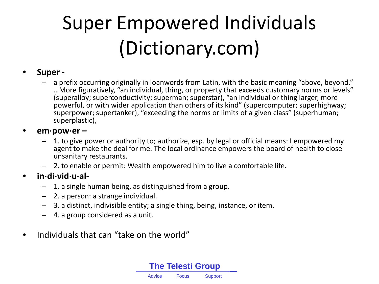### Super Empowered Individuals (Dictionary.com)

#### • **Super -**

– a prefix occurring originally in loanwords from Latin, with the basic meaning "above, beyond." …More figuratively, "an individual, thing, or property that exceeds customary norms or levels" (superalloy; superconductivity; superman; superstar), "an individual or thing larger, more powerful, or with wider application than others of its kind" (supercomputer; superhighway; superpower; supertanker), "exceeding the norms or limits of a given class" (superhuman; superplastic),

#### • **em**⋅**pow**⋅**er –**

- 1. to give power or authority to; authorize, esp. by legal or official means: I empowered my agent to make the deal for me. The local ordinance empowers the board of health to close unsanitary restaurants.
- 2. to enable or permit: Wealth empowered him to live a comfortable life.

#### • **in**⋅**di**⋅**vid**⋅**u**⋅**al-**

- 1. a single human being, as distinguished from a group.
- 2. a person: a strange individual.
- 3. a distinct, indivisible entity; a single thing, being, instance, or item.
- 4. a group considered as a unit.
- Individuals that can "take on the world"

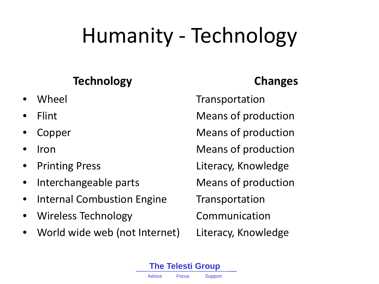# Humanity - Technology

#### **Technology**

- Wheel
- Flint
- **Copper**
- Iron
- Printing Press
- Interchangeable parts
- Internal Combustion Engine
- Wireless Technology
- World wide web (not Internet)

### **Changes**

Transportation Means of production Means of production Means of production Literacy, Knowledge Means of production Transportation Communication Literacy, Knowledge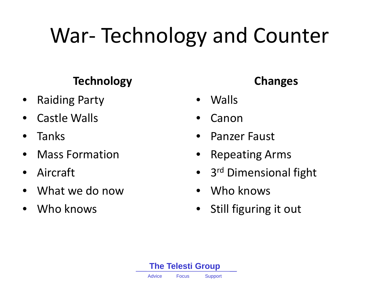# War- Technology and Counter

#### **Technology**

- Raiding Party
- Castle Walls
- Tanks
- Mass Formation
- Aircraft
- What we do now
- Who knows

#### **Changes**

- Walls
- **Canon**
- Panzer Faust
- Repeating Arms
- 3<sup>rd</sup> Dimensional fight
- Who knows
- Still figuring it out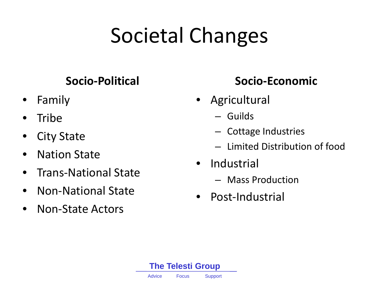# Societal Changes

#### **Socio-Political**

- Family
- Tribe
- **City State**
- Nation State
- Trans-National State
- Non-National State
- Non-State Actors

#### **Socio-Economic**

- Agricultural
	- Guilds
	- Cottage Industries
	- Limited Distribution of food
- Industrial
	- Mass Production
- Post-Industrial

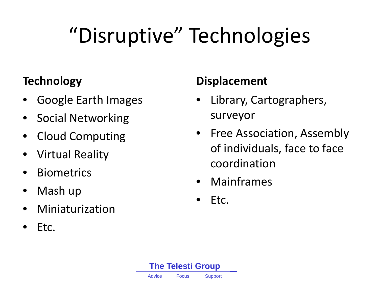# "Disruptive" Technologies

#### **Technology**

- Google Earth Images
- Social Networking
- Cloud Computing
- Virtual Reality
- **Biometrics**
- Mash up
- Miniaturization
- Etc.

#### **Displacement**

- Library, Cartographers, surveyor
- Free Association, Assembly of individuals, face to face coordination
- Mainframes
- Etc.

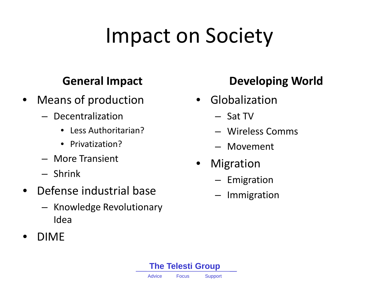### Impact on Society

#### **General Impact**

- Means of production
	- Decentralization
		- Less Authoritarian?
		- Privatization?
	- More Transient
	- Shrink
- Defense industrial base
	- Knowledge Revolutionary Idea
- DIME

#### **Developing World**

- Globalization
	- Sat TV
	- Wireless Comms
	- Movement
- **Migration** 
	- Emigration
	- **Immigration**

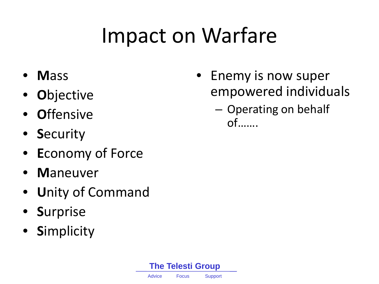### Impact on Warfare

- **M**ass
- **O**bjective
- **O**ffensive
- **S**ecurity
- **E**conomy of Force
- **M**aneuver
- **U**nity of Command
- **S**urprise
- **S**implicity
- Enemy is now super empowered individuals
	- Operating on behalf of…….

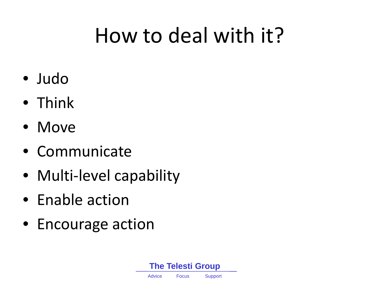### How to deal with it?

- Judo
- Think
- Move
- Communicate
- Multi-level capability
- Enable action
- Encourage action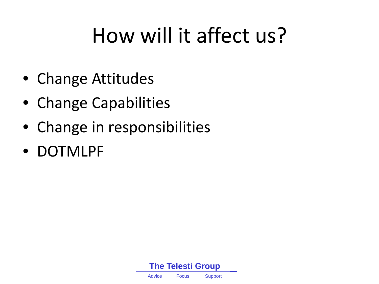### How will it affect us?

- Change Attitudes
- Change Capabilities
- Change in responsibilities
- DOTMLPF